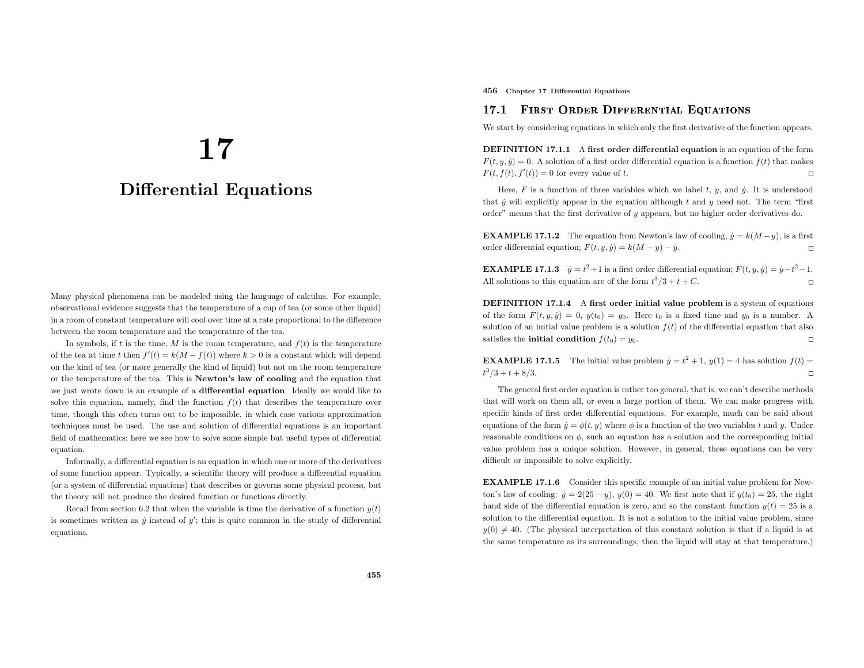# 17

# Differential Equations

Many <sup>p</sup>hysical <sup>p</sup>henomena can be modeled using the language of calculus. For example, observational evidence suggests that the temperature of <sup>a</sup> cup of tea (or some other liquid) in <sup>a</sup> room of constant temperature will cool over time at <sup>a</sup> rate proportional to the difference between the room temperature and the temperature of the tea.

In symbols, if t is the time, M is the room temperature, and  $f(t)$  is the temperature of the tea at time t then  $f'(t) = k(M - f(t))$  where  $k > 0$  is a constant which will depend on the kind of tea (or more generally the kind of liquid) but not on the room temperature or the temperature of the tea. This is Newton's law of cooling and the equation that we just wrote down is an example of <sup>a</sup> differential equation. Ideally we would like to solve this equation, namely, find the function  $f(t)$  that describes the temperature over time, though this often turns out to be impossible, in which case various approximation techniques must be used. The use and solution of differential equations is an important field of mathematics; here we see how to solve some simple but useful types of differential equation.

Informally, <sup>a</sup> differential equation is an equation in which one or more of the derivatives of some function appear. Typically, <sup>a</sup> scientific theory will produce <sup>a</sup> differential equation (or <sup>a</sup> system of differential equations) that describes or governs some <sup>p</sup>hysical process, but the theory will not produce the desired function or functions directly.

Recall from section 6.2 that when the variable is time the derivative of a function  $y(t)$ is sometimes written as  $\dot{y}$  instead of  $y'$ ; this is quite common in the study of differential equations.

456 Chapter <sup>17</sup> Differential Equations

#### 17.1First Order Differential Equations

We start by considering equations in which only the first derivative of the function appears.

DEFINITION 17.1.1 A first order differential equation is an equation of the form  $F(t, y, \dot{y}) = 0$ . A solution of a first order differential equation is a function  $f(t)$  that makes  $F(t, f(t), f'(t)) = 0$  for every value of t.  $\Box$ 

Here,  $F$  is a function of three variables which we label  $t, y$ , and  $\dot{y}$ . It is understood that  $\dot{y}$  will explicitly appear in the equation although  $t$  and  $y$  need not. The term "first order" means that the first derivative of  $\eta$  appears, but no higher order derivatives do.

**EXAMPLE 17.1.2** The equation from Newton's law of cooling,  $\dot{y} = k(M - y)$ , is a first order differential equation;  $F(t, y, \dot{y}) = k(M - y) - \dot{y}$ .

**EXAMPLE 17.1.3**  $\dot{y} = t^2 + 1$  is a first order differential equation;  $F(t, y, \dot{y}) = \dot{y} - t^2 - 1$ . All solutions to this equation are of the form  $t^3/3 + t + C$ .

**DEFINITION 17.1.4** A first order initial value problem is a system of equations of the form  $F(t) = 0$  (*i*)  $F(t) = \frac{1}{2}$ of the form  $F(t, y, \dot{y}) = 0$ ,  $y(t_0) = y_0$ . Here  $t_0$  is a fixed time and  $y_0$  is a number. A solution of an initial value problem is a solution  $f(t)$  of the differential equation that also  $\Box$ satisfies the **initial condition**  $f(t_0) = y_0$ .

**EXAMPLE 17.1.5** The initial value problem  $\dot{y} = t^2 + 1$ ,  $y(1) = 4$  has solution  $f(t) =$  $t^3/3 + t + 8/3.$ 

The genera<sup>l</sup> first order equation is rather too general, that is, we can't describe methods that will work on them all, or even <sup>a</sup> large portion of them. We can make progress with specific kinds of first order differential equations. For example, much can be said about equations of the form  $\dot{y} = \phi(t, y)$  where  $\phi$  is a function of the two variables t and y. Under reasonable conditions on  $\phi$ , such an equation has a solution and the corresponding initial value problem has <sup>a</sup> unique solution. However, in general, these equations can be verydifficult or impossible to solve explicitly.

EXAMPLE 17.1.6 Consider this specific example of an initial value problem for Newton's law of cooling:  $\dot{y} = 2(25 - y)$ ,  $y(0) = 40$ . We first note that if  $y(t_0) = 25$ , the right hand side of the differential equation is zero, and so the constant function  $y(t) = 25$  is a solution to the differential equation. It is not <sup>a</sup> solution to the initial value problem, since  $y(0) \neq 40$ . (The physical interpretation of this constant solution is that if a liquid is at the same temperature as its surroundings, then the liquid will stay at that temperature.)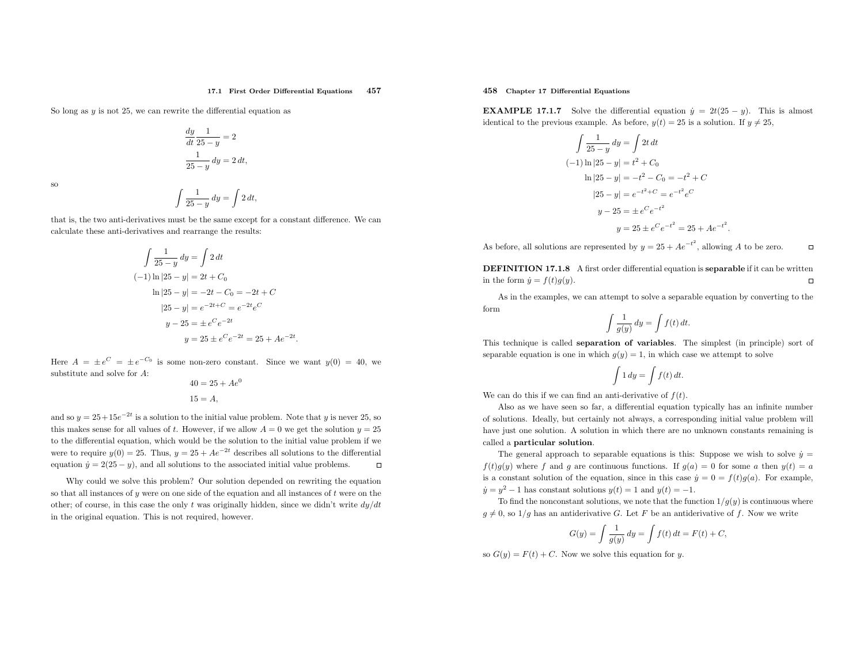#### 17.1 First Order Differential Equations <sup>457</sup>

So long as  $y$  is not 25, we can rewrite the differential equation as

$$
\frac{dy}{dt} \frac{1}{25 - y} = 2
$$

$$
\frac{1}{25 - y} dy = 2 dt,
$$

so

$$
\int \frac{1}{25-y} \, dy = \int 2 \, dt,
$$

that is, the two anti-derivatives must be the same except for <sup>a</sup> constant difference. We cancalculate these anti-derivatives and rearrange the results:

$$
\int \frac{1}{25 - y} dy = \int 2 dt
$$
  
\n(-1) ln |25 - y| = 2t + C<sub>0</sub>  
\nln |25 - y| = -2t - C<sub>0</sub> = -2t + C  
\n|25 - y| = e<sup>-2t+C</sup> = e<sup>-2t</sup>e<sup>C</sup>  
\ny - 25 = \pm e<sup>C</sup>e<sup>-2t</sup>  
\ny = 25 \pm e<sup>C</sup>e<sup>-2t</sup> = 25 + Ae<sup>-2t</sup>.

Here  $A = \pm e^C = \pm e^{-C_0}$  is some non-zero constant. Since we want  $y(0) = 40$ , we substitute and solve for A:

$$
40 = 25 + Ae^0
$$
  

$$
15 = A,
$$

and so  $y = 25 + 15e^{-2t}$  is a solution to the initial value problem. Note that y is never 25, so this makes sense for all values of t. However, if we allow  $A = 0$  we get the solution  $y = 25$  to the differential equation, which would be the solution to the initial value problem if we were to require  $y(0) = 25$ . Thus,  $y = 25 + Ae^{-2t}$  describes all solutions to the differential equation  $\dot{y} = 2(25 - y)$ , and all solutions to the associated initial value problems.  $\Box$ 

Why could we solve this problem? Our solution depended on rewriting the equationso that all instances of  $y$  were on one side of the equation and all instances of  $t$  were on the other; of course, in this case the only t was originally hidden, since we didn't write  $dy/dt$ in the original equation. This is not required, however.

### 458 Chapter <sup>17</sup> Differential Equations

**EXAMPLE 17.1.7** Solve the differential equation  $\dot{y} = 2t(25 - y)$ . This is almost identical to the previous example. As before,  $y(t) = 25$  is a solution. If  $y \neq 25$ ,

$$
\int \frac{1}{25 - y} dy = \int 2t dt
$$
  
\n(-1) ln |25 - y| = t<sup>2</sup> + C<sub>0</sub>  
\nln |25 - y| = -t<sup>2</sup> - C<sub>0</sub> = -t<sup>2</sup> + C  
\n|25 - y| = e<sup>-t<sup>2</sup>+C</sup> = e<sup>-t<sup>2</sup></sup>e<sup>C</sup>  
\ny - 25 = \pm e<sup>C</sup>e<sup>-t<sup>2</sup></sup>  
\ny = 25 \pm e<sup>C</sup>e<sup>-t<sup>2</sup></sup> = 25 + Ae<sup>-t<sup>2</sup></sup>.

As before, all solutions are represented by  $y = 25 + Ae^{-t^2}$ , allowing A to be zero.  $\Box$ 

**DEFINITION 17.1.8** A first order differential equation is **separable** if it can be written in the form  $\dot{y} = f(t)g(y)$ .

As in the examples, we can attempt to solve <sup>a</sup> separable equation by converting to the form

$$
\int \frac{1}{g(y)} dy = \int f(t) dt.
$$

This technique is called separation of variables. The simplest (in principle) sort of separable equation is one in which  $g(y) = 1$ , in which case we attempt to solve

$$
\int 1 dy = \int f(t) dt.
$$

We can do this if we can find an anti-derivative of  $f(t)$ .

Also as we have seen so far, <sup>a</sup> differential equation typically has an infinite number of solutions. Ideally, but certainly not always, <sup>a</sup> corresponding initial value problem will have just one solution. <sup>A</sup> solution in which there are no unknown constants remaining is called <sup>a</sup> particular solution.

The general approach to separable equations is this: Suppose we wish to solve  $\dot{y} =$  $f(t)g(y)$  where f and g are continuous functions. If  $g(a) = 0$  for some a then  $y(t) = a$ is a constant solution of the equation, since in this case  $\dot{y} = 0 = f(t)g(a)$ . For example,  $\dot{y} = y^2 - 1$  has constant solutions  $y(t) = 1$  and  $y(t) = -1$ .

To find the nonconstant solutions, we note that the function  $1/g(y)$  is continuous where  $g \neq 0$ , so  $1/g$  has an antiderivative G. Let F be an antiderivative of f. Now we write

$$
G(y) = \int \frac{1}{g(y)} \, dy = \int f(t) \, dt = F(t) + C,
$$

so  $G(y) = F(t) + C$ . Now we solve this equation for y.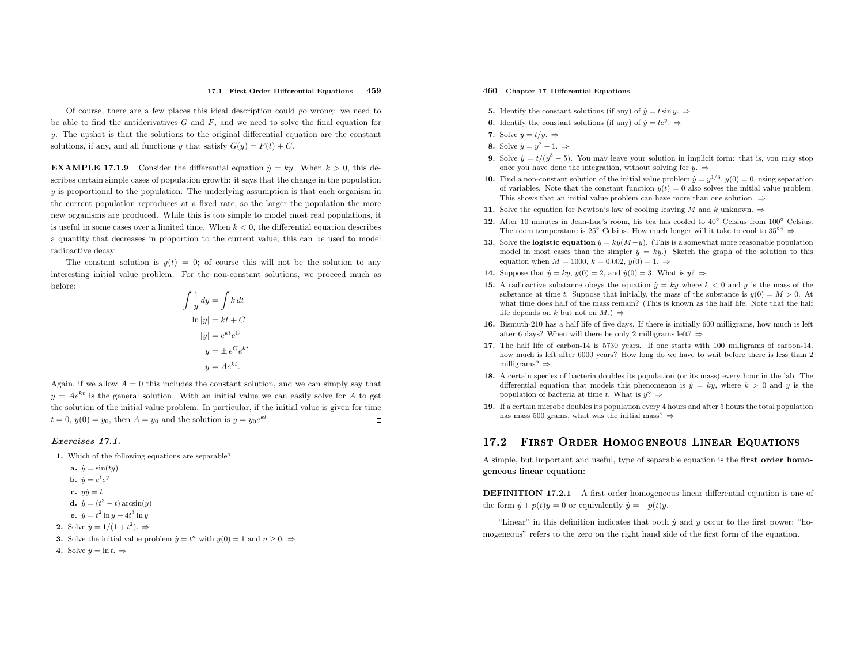#### 17.1 First Order Differential Equations 459

Of course, there are <sup>a</sup> few <sup>p</sup>laces this ideal description could go wrong: we need to be able to find the antiderivatives  $G$  and  $F$ , and we need to solve the final equation for  $y$ . The upshot is that the solutions to the original differential equation are the constant solutions, if any, and all functions y that satisfy  $G(y) = F(t) + C$ .

**EXAMPLE 17.1.9** Consider the differential equation  $\dot{y} = ky$ . When  $k > 0$ , this describes certain simple cases of population growth: it says that the change in the population y is proportional to the population. The underlying assumption is that each organism in the current population reproduces at <sup>a</sup> fixed rate, so the larger the population the more new organisms are produced. While this is too simple to model most real populations, it is useful in some cases over a limited time. When  $k < 0$ , the differential equation describes <sup>a</sup> quantity that decreases in proportion to the current value; this can be used to model radioactive decay.

The constant solution is  $y(t) = 0$ ; of course this will not be the solution to any interesting initial value problem. For the non-constant solutions, we proceed much as before:

$$
\int \frac{1}{y} dy = \int k dt
$$

$$
\ln|y| = kt + C
$$

$$
|y| = e^{kt} e^{C}
$$

$$
y = \pm e^{C} e^{kt}
$$

$$
y = Ae^{kt}.
$$

Again, if we allow  $A = 0$  this includes the constant solution, and we can simply say that  $y = Ae^{kt}$  is the general solution. With an initial value we can easily solve for A to get the solution of the initial value problem. In particular, if the initial value is <sup>g</sup>iven for time  $t = 0$ ,  $y(0) = y_0$ , then  $A = y_0$  and the solution is  $y = y_0 e^{kt}$ .  $\Box$ 

#### Exercises 17.1.

- 1. Which of the following equations are separable?
	- a.  $\dot{y} = \sin(ty)$ **b.**  $\dot{y} = e^t e^y$ c.  $y\dot{y} = t$ **d.**  $\dot{y} = (t^3 - t) \arcsin(y)$ **e.**  $\dot{y} = t^2 \ln y + 4t^3 \ln y$
- **2.** Solve  $\dot{y} = 1/(1+t^2)$ .  $\Rightarrow$
- **3.** Solve the initial value problem  $\dot{y} = t^n$  with  $y(0) = 1$  and  $n \geq 0$ .  $\Rightarrow$
- 4. Solve  $\dot{y} = \ln t$ .  $\Rightarrow$

#### 460 Chapter <sup>17</sup> Differential Equations

- **5.** Identify the constant solutions (if any) of  $\dot{y} = t \sin y$ .  $\Rightarrow$
- **6.** Identify the constant solutions (if any) of  $\dot{y} = te^y$ .  $\Rightarrow$
- 7. Solve  $\dot{y} = t/y$ .  $\Rightarrow$
- 8. Solve  $\dot{y} = y^2 1. \Rightarrow$
- 9. Solve  $\dot{y} = t/(y^3 5)$ . You may leave your solution in implicit form: that is, you may stop once you have done the integration, without solving for  $y \Rightarrow$
- **10.** Find a non-constant solution of the initial value problem  $\dot{y} = y^{1/3}$ ,  $y(0) = 0$ , using separation of exception of the initial value of exception of the initial value of the constant of variables. Note that the constant function  $y(t) = 0$  also solves the initial value problem. This shows that an initial value problem can have more than one solution.  $\Rightarrow$
- 11. Solve the equation for Newton's law of cooling leaving M and k unknown.  $\Rightarrow$
- 12. After 10 minutes in Jean-Luc's room, his tea has cooled to  $40^{\circ}$  Celsius from  $100^{\circ}$  Celsius. The room temperature is 25<sup>°</sup> Celsius. How much longer will it take to cool to 35<sup>°?</sup>
- 13. Solve the logistic equation  $y = ky(M-y)$ . (This is a somewhat more reasonable population with the contract of the population of the contract of the contract of the contract of the contract of the contract of the contract model in most cases than the simpler  $\dot{y} = ky$ .) Sketch the graph of the solution to this equation when  $M = 1000, k = 0.002, y(0) = 1. \Rightarrow$
- **14.** Suppose that  $\dot{y} = ky$ ,  $y(0) = 2$ , and  $\dot{y}(0) = 3$ . What is  $y$ ?
- 15. A radioactive substance obeys the equation  $\dot{y} = ky$  where  $k < 0$  and y is the mass of the mass of the mass of the mass of the mass of the mass of the mass of the mass of the mass of the mass of the mass of the mass o substance at time t. Suppose that initially, the mass of the substance is  $y(0) = M > 0$ . At the substance is  $y(0) = M > 0$ . what time does half of the mass remain? (This is known as the half life. Note that the half life depends on k but not on  $M$ .)  $\Rightarrow$
- 16. Bismuth-210 has <sup>a</sup> half life of five days. If there is initially <sup>600</sup> milligrams, how much is left after 6 days? When will there be only 2 milligrams left?  $\Rightarrow$
- 17. The half life of carbon-14 is <sup>5730</sup> years. If one starts with <sup>100</sup> milligrams of carbon-14, how much is left after <sup>6000</sup> years? How long do we have to wait before there is less than <sup>2</sup>milligrams?⇒
- 18. <sup>A</sup> certain species of bacteria doubles its population (or its mass) every hour in the lab. The differential equation that models this phenomenon is  $\dot{y} = ky$ , where  $k > 0$  and y is the population of bacteria at time t. What is  $y$ ?  $\Rightarrow$
- 19. If <sup>a</sup> certain microbe doubles its population every <sup>4</sup> hours and after <sup>5</sup> hours the total populationhas mass 500 grams, what was the initial mass?  $\Rightarrow$

#### 17.2First Order Homogeneous Linear Equations

<sup>A</sup> simple, but important and useful, type of separable equation is the first order homogeneous linear equation:

DEFINITION 17.2.1 <sup>A</sup> first order homogeneous linear differential equation is one of the form  $\dot{y} + p(t)y = 0$  or equivalently  $\dot{y} = -p(t)y$ .  $\Box$ 

"Linear" in this definition indicates that both  $\dot{y}$  and  $y$  occur to the first power; "homogeneous" refers to the zero on the right hand side of the first form of the equation.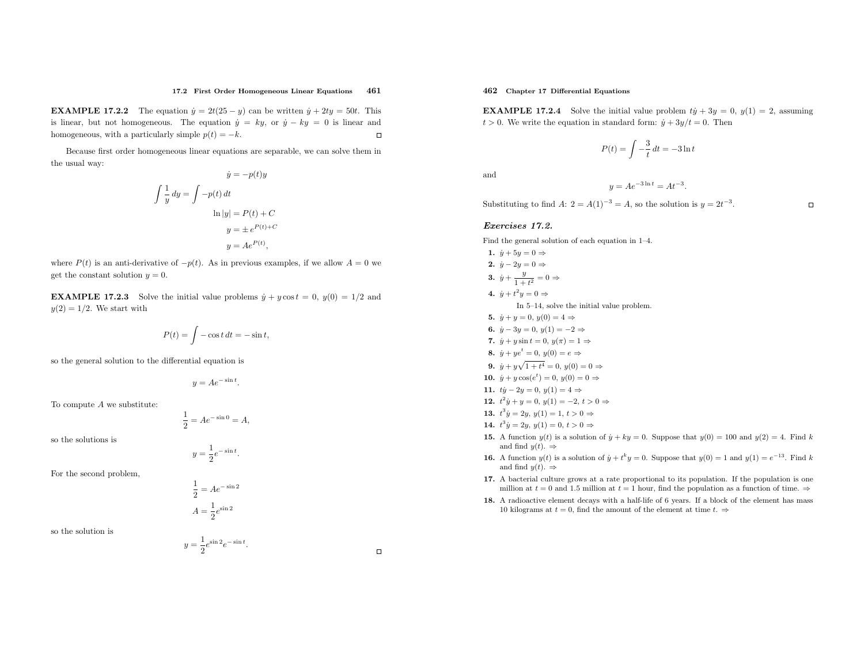#### 17.2 First Order Homogeneous Linear Equations <sup>461</sup>

**EXAMPLE 17.2.2** The equation  $\dot{y} = 2t(25 - y)$  can be written  $\dot{y} + 2ty = 50t$ . This is linear, but not homogeneous. The equation  $\dot{y} = ky$ , or  $\dot{y} - ky = 0$  is linear and homogeneous, with a particularly simple  $p(t) = -k$ .

Because first order homogeneous linear equations are separable, we can solve them inthe usual way: y˙ $=$   $($ t)

$$
y = -p(t)y
$$

$$
\int \frac{1}{y} dy = \int -p(t) dt
$$

$$
\ln|y| = P(t) + C
$$

$$
y = \pm e^{P(t) + C}
$$

$$
y = Ae^{P(t)},
$$

where  $P(t)$  is an anti-derivative of  $-p(t)$ . As in previous examples, if we allow  $A = 0$  we get the constant solution  $y = 0$ .

**EXAMPLE 17.2.3** Solve the initial value problems  $\dot{y} + y \cos t = 0$ ,  $y(0) = 1/2$  and  $y(2) = 1/2$ . We start with

$$
P(t) = \int -\cos t \, dt = -\sin t,
$$

so the genera<sup>l</sup> solution to the differential equation is

$$
y = Ae^{-\sin t}.
$$

To compute A we substitute:

$$
\frac{1}{2}=Ae^{-\sin 0}=A,
$$

so the solutions is

 $y=\frac{1}{2}e^{-\sin t}.$ 

For the second problem,

$$
\frac{1}{2} = Ae^{-\sin 2}
$$

$$
A = \frac{1}{2}e^{\sin 2}
$$

 $y = \frac{1}{2}e^{\sin 2}e^{-\sin t}.$ 

so the solution is

# 462 Chapter <sup>17</sup> Differential Equations

**EXAMPLE 17.2.4** Solve the initial value problem  $ty + 3y = 0$ ,  $y(1) = 2$ , assuming  $t > 0$ . We write the equation in standard form:  $\dot{y} + 3y/t = 0$ . Then

$$
P(t) = \int -\frac{3}{t} dt = -3 \ln t
$$

and

$$
y = Ae^{-3\ln t} = At^{-3}.
$$

Substituting to find  $A: 2 = A(1)^{-3} = A$ , so the solution is  $y = 2t^{-3}$ .

#### Exercises 17.2.

Find the genera<sup>l</sup> solution of each equation in 1–4.

1. 
$$
\dot{y} + 5y = 0 \Rightarrow
$$
  
\n2.  $\dot{y} - 2y = 0 \Rightarrow$   
\n3.  $\dot{y} + \frac{y}{1 + t^2} = 0 \Rightarrow$   
\n4.  $\dot{y} + t^2y = 0 \Rightarrow$   
\n10 5-14, solve the initial value problem.  
\n5.  $\dot{y} + y = 0$ ,  $y(0) = 4 \Rightarrow$   
\n6.  $\dot{y} - 3y = 0$ ,  $y(1) = -2 \Rightarrow$   
\n7.  $\dot{y} + y \sin t = 0$ ,  $y(\pi) = 1 \Rightarrow$   
\n8.  $\dot{y} + y e^t = 0$ ,  $y(0) = e \Rightarrow$   
\n9.  $\dot{y} + y\sqrt{1 + t^4} = 0$ ,  $y(0) = 0 \Rightarrow$   
\n10.  $\dot{y} + y \cos(e^t) = 0$ ,  $y(0) = 0 \Rightarrow$   
\n11.  $ty - 2y = 0$ ,  $y(1) = 4 \Rightarrow$   
\n12.  $t^2\dot{y} + y = 0$ ,  $y(1) = -2$ ,  $t > 0 \Rightarrow$   
\n13.  $t^3\dot{y} = 2y$ ,  $y(1) = 1$ ,  $t > 0 \Rightarrow$   
\n14.  $t^3y = 2y$ ,  $y(1) = 0$ ,  $t > 0 \Rightarrow$   
\n15. A function  $y(t)$  is a solution of  $\dot{y} + ky = 0$ . Suppose that  $y(0) = 100$  and  $y(2) = 4$ . Find k

- and find  $y(t)$ .  $\Rightarrow$
- **16.** A function  $y(t)$  is a solution of  $\dot{y} + t^k y = 0$ . Suppose that  $y(0) = 1$  and  $y(1) = e^{-13}$ . Find k and find  $y(t)$ .  $\Rightarrow$
- 17. <sup>A</sup> bacterial culture grows at <sup>a</sup> rate proportional to its population. If the population is one million at  $t = 0$  and 1.5 million at  $t = 1$  hour, find the population as a function of time.  $\Rightarrow$
- 18. <sup>A</sup> radioactive element decays with <sup>a</sup> half-life of <sup>6</sup> years. If <sup>a</sup> block of the element has mass 10 kilograms at  $t = 0$ , find the amount of the element at time  $t \Rightarrow$

 $\Box$ 

 $\Box$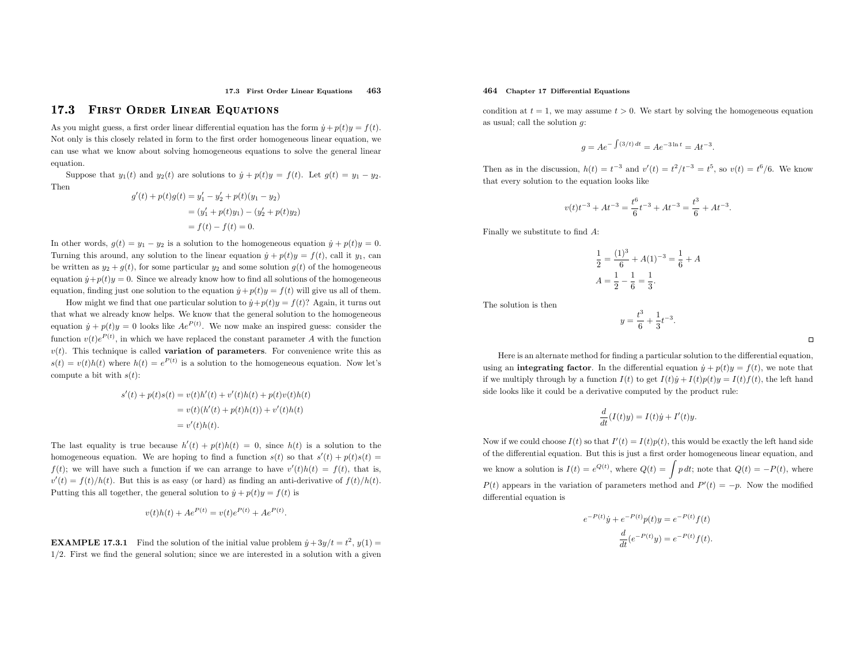17.3 First Order Linear Equations 463

#### 17.3First Order Linear Equations

As you might guess, a first order linear differential equation has the form  $\dot{y} + p(t)y = f(t)$ . Not only is this closely related in form to the first order homogeneous linear equation, we can use what we know about solving homogeneous equations to solve the genera<sup>l</sup> linear equation.

Suppose that  $y_1(t)$  and  $y_2(t)$  are solutions to  $\dot{y} + p(t)y = f(t)$ . Let  $g(t) = y_1 - y_2$ . Then

$$
g'(t) + p(t)g(t) = y'_1 - y'_2 + p(t)(y_1 - y_2)
$$
  
=  $(y'_1 + p(t)y_1) - (y'_2 + p(t)y_2)$   
=  $f(t) - f(t) = 0$ .

In other words,  $g(t) = y_1 - y_2$  is a solution to the homogeneous equation  $\dot{y} + p(t)y = 0$ . Turning this around, any solution to the linear equation  $\dot{y} + p(t)y = f(t)$ , call it  $y_1$ , can be written as  $y_2 + g(t)$ , for some particular  $y_2$  and some solution  $g(t)$  of the homogeneous equation  $\dot{y} + p(t)y = 0$ . Since we already know how to find all solutions of the homogeneous equation, finding just one solution to the equation  $\dot{y} + p(t)y = f(t)$  will give us all of them.

How might we find that one particular solution to  $\dot{y} + p(t)y = f(t)$ ? Again, it turns out that what we already know helps. We know that the genera<sup>l</sup> solution to the homogeneous equation  $\dot{y} + p(t)y = 0$  looks like  $Ae^{P(t)}$ . We now make an inspired guess: consider the function  $v(t)e^{P(t)}$ , in which we have replaced the constant parameter A with the function  $v(t)$ . This technique is called **variation of parameters**. For convenience write this as  $s(t) = v(t)h(t)$  where  $h(t) = e^{P(t)}$  is a solution to the homogeneous equation. Now let's compute a bit with  $s(t)$ :

> $s'(t) + p(t)s(t) = v(t)h'(t) + v'(t)h(t) + p(t)v(t)h(t)$  $= v(t)(h'(t) + p(t)h(t)) + v'(t)h(t)$  $= v'(t)h(t).$

The last equality is true because  $h'(t) + p(t)h(t) = 0$ , since  $h(t)$  is a solution to the homogeneous equation. We are hoping to find a function  $s(t)$  so that  $s'(t) + p(t)s(t) =$  $f(t)$ ; we will have such a function if we can arrange to have  $v'(t)h(t) = f(t)$ , that is,  $v'(t) = f(t)/h(t)$ . But this is as easy (or hard) as finding an anti-derivative of  $f(t)/h(t)$ . Putting this all together, the general solution to  $\dot{y} + p(t)y = f(t)$  is

$$
v(t)h(t) + Ae^{P(t)} = v(t)e^{P(t)} + Ae^{P(t)}
$$

**EXAMPLE 17.3.1** Find the solution of the initial value problem  $\dot{y} + 3y/t = t^2$ ,  $y(1) =$ <sup>1</sup>/2. First we find the genera<sup>l</sup> solution; since we are interested in <sup>a</sup> solution with <sup>a</sup> <sup>g</sup>iven

#### 464 Chapter <sup>17</sup> Differential Equations

condition at  $t = 1$ , we may assume  $t > 0$ . We start by solving the homogeneous equation as usual; call the solution  $g$ :

$$
g = Ae^{-\int (3/t) dt} = Ae^{-3\ln t} = At^{-3}
$$

Then as in the discussion,  $h(t) = t^{-3}$  and  $v'(t) = t^2/t^{-3} = t^5$ , so  $v(t) = t^6/6$ . We know that every solution to the equation looks like

$$
v(t)t^{-3} + At^{-3} = \frac{t^6}{6}t^{-3} + At^{-3} = \frac{t^3}{6} + At^{-3}.
$$

Finally we substitute to find  $A$ :

$$
\frac{1}{2} = \frac{(1)^3}{6} + A(1)^{-3} = \frac{1}{6} + A
$$

$$
A = \frac{1}{2} - \frac{1}{6} = \frac{1}{3}.
$$

The solution is then

$$
y = \frac{t^3}{6} + \frac{1}{3}t^{-3}.
$$

Here is an alternate method for finding <sup>a</sup> particular solution to the differential equation, using an **integrating factor**. In the differential equation  $\dot{y} + p(t)y = f(t)$ , we note that if we multiply through by a function  $I(t)$  to get  $I(t)\dot{y} + I(t)p(t)y = I(t)f(t)$ , the left hand side looks like it could be <sup>a</sup> derivative computed by the product rule:

$$
\frac{d}{dt}(I(t)y) = I(t)\dot{y} + I'(t)y.
$$

Now if we could choose  $I(t)$  so that  $I'(t) = I(t)p(t)$ , this would be exactly the left hand side of the differential equation. But this is just <sup>a</sup> first order homogeneous linear equation, andwe know a solution is  $I(t) = e^{Q(t)}$ , where  $Q(t) = \int p dt$ ; note that  $Q(t) = -P(t)$ , where  $P(t)$  appears in the variation of parameters method and  $P'(t) = -p$ . Now the modified differential equation is

$$
e^{-P(t)}\dot{y} + e^{-P(t)}p(t)y = e^{-P(t)}f(t)
$$

$$
\frac{d}{dt}(e^{-P(t)}y) = e^{-P(t)}f(t).
$$

$$
\Box
$$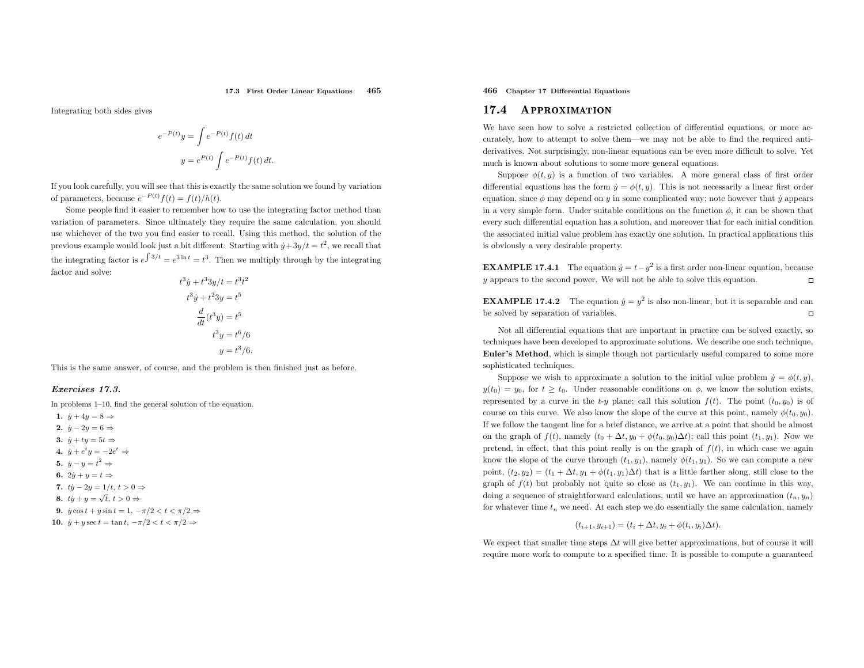Integrating both sides <sup>g</sup>ives

$$
e^{-P(t)}y = \int e^{-P(t)} f(t) dt
$$

$$
y = e^{P(t)} \int e^{-P(t)} f(t) dt.
$$

If you look carefully, you will see that this is exactly the same solution we found by variationof parameters, because  $e^{-P(t)}f(t) = f(t)/h(t)$ .

Some people find it easier to remember how to use the integrating factor method than variation of parameters. Since ultimately they require the same calculation, you should use whichever of the two you find easier to recall. Using this method, the solution of the previous example would look just a bit different: Starting with  $\dot{y} + 3y/t = t^2$ , we recall that the integrating factor is  $e^{\int 3/t} = e^{3 \ln t} = t^3$ . Then we multiply through by the integrating factor and solve:  $t^3$ 

$$
i y + i^3 3y/t = i^3 t^2
$$
  
\n
$$
t^3 y + t^2 3y = t^5
$$
  
\n
$$
\frac{d}{dt}(t^3 y) = t^5
$$
  
\n
$$
t^3 y = t^6/6
$$
  
\n
$$
y = t^3/6.
$$

This is the same answer, of course, and the problem is then finished just as before.

#### Exercises 17.3.

In problems 1–10, find the genera<sup>l</sup> solution of the equation.

- 1.  $\dot{y} + 4y = 8 \Rightarrow$
- 2.  $\dot{y} 2y = 6 \Rightarrow$
- 3.  $\dot{y} + ty = 5t \Rightarrow$
- 4.  $\dot{y} + e^t y = -2e^t \Rightarrow$
- 5.  $\dot{y} y = t^2 \Rightarrow$
- 6.  $2\dot{y} + y = t \Rightarrow$
- 7.  $ty 2y = 1/t, t > 0 \Rightarrow$
- 8.  $t\dot{y} + y = \sqrt{t}, t > 0 \Rightarrow$
- 9.  $\dot{y}\cos t + y\sin t = 1, -\pi/2 < t < \pi/2 \Rightarrow$
- 10.  $\dot{y} + y \sec t = \tan t, -\pi/2 < t < \pi/2 \Rightarrow$

## 466 Chapter <sup>17</sup> Differential Equations

#### 17.4Approximation

We have seen how to solve <sup>a</sup> restricted collection of differential equations, or more accurately, how to attempt to solve them—we may not be able to find the required antiderivatives. Not surprisingly, non-linear equations can be even more difficult to solve. Yet much is known about solutions to some more general equations.

Suppose  $\phi(t, y)$  is a function of two variables. A more general class of first order differential equations has the form  $y = \phi(t, y)$ . This is not necessarily a linear first order equation, since  $\phi$  may depend on y in some complicated way; note however that  $\dot{y}$  appears in a very simple form. Under suitable conditions on the function  $\phi$ , it can be shown that every such differential equation has <sup>a</sup> solution, and moreover that for each initial condition the associated initial value problem has exactly one solution. In practical applications this is obviously <sup>a</sup> very desirable property.

**EXAMPLE 17.4.1** The equation  $\dot{y} = t - y^2$  is a first order non-linear equation, because y appears to the second power. We will not be able to solve this equation.

**EXAMPLE 17.4.2** The equation  $\dot{y} = y^2$  is also non-linear, but it is separable and can be solved by separation of variables.

Not all differential equations that are important in practice can be solved exactly, so techniques have been developed to approximate solutions. We describe one such technique, Euler's Method, which is simple though not particularly useful compared to some more sophisticated techniques.

Suppose we wish to approximate a solution to the initial value problem  $\dot{y} = \phi(t, y)$ ,  $y(t_0) = y_0$ , for  $t \geq t_0$ . Under reasonable conditions on  $\phi$ , we know the solution exists, represented by a curve in the  $t-y$  plane; call this solution  $f(t)$ . The point  $(t_0, y_0)$  is of course on this curve. We also know the slope of the curve at this point, namely  $\phi(t_0, y_0)$ . If we follow the tangent line for <sup>a</sup> brief distance, we arrive at <sup>a</sup> point that should be almost on the graph of  $f(t)$ , namely  $(t_0 + \Delta t, y_0 + \phi(t_0, y_0)\Delta t)$ ; call this point  $(t_1, y_1)$ . Now we pretend, in effect, that this point really is on the graph of  $f(t)$ , in which case we again know the slope of the curve through  $(t_1, y_1)$ , namely  $\phi(t_1, y_1)$ . So we can compute a new point,  $(t_2, y_2) = (t_1 + \Delta t, y_1 + \phi(t_1, y_1)\Delta t)$  that is a little farther along, still close to the graph of  $f(t)$  but probably not quite so close as  $(t_1, y_1)$ . We can continue in this way, doing a sequence of straightforward calculations, until we have an approximation  $(t_n, y_n)$ for whatever time  $t_n$  we need. At each step we do essentially the same calculation, namely

$$
(t_{i+1}, y_{i+1}) = (t_i + \Delta t, y_i + \phi(t_i, y_i)\Delta t).
$$

We expect that smaller time steps  $\Delta t$  will give better approximations, but of course it will require more work to compute to <sup>a</sup> specified time. It is possible to compute <sup>a</sup> guaranteed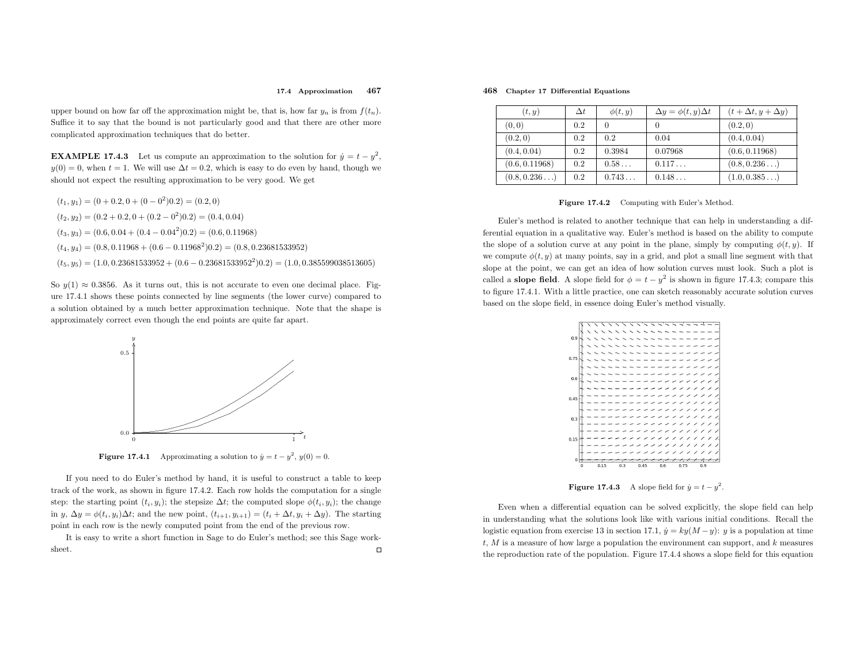#### 17.4 Approximation<sup>467</sup>

upper bound on how far off the approximation might be, that is, how far  $y_n$  is from  $f(t_n)$ . Suffice it to say that the bound is not particularly good and that there are other more complicated approximation techniques that do better.

**EXAMPLE 17.4.3** Let us compute an approximation to the solution for  $\dot{y} = t - y^2$ ,  $y(0) = 0$ , when  $t = 1$ . We will use  $\Delta t = 0.2$ , which is easy to do even by hand, though we should not expect the resulting approximation to be very good. We get

 $(t_1, y_1) = (0 + 0.2, 0 + (0 - 0^2)0.2) = (0.2, 0)$  $(t_2, y_2) = (0.2 + 0.2, 0 + (0.2 - 0^2) 0.2) = (0.4, 0.04)$  $(t_3, y_3) = (0.6, 0.04 + (0.4 - 0.04^2)0.2) = (0.6, 0.11968)$  $(t_4, y_4) = (0.8, 0.11968 + (0.6 - 0.11968^2)0.2) = (0.8, 0.23681533952)$  $(t_5, y_5) = (1.0, 0.23681533952 + (0.6 - 0.23681533952^2)0.2) = (1.0, 0.385599038513605)$ 

So  $y(1) \approx 0.3856$ . As it turns out, this is not accurate to even one decimal place. Figure 17.4.1 shows these points connected by line segments (the lower curve) compared to <sup>a</sup> solution obtained by <sup>a</sup> much better approximation technique. Note that the shape is approximately correct even though the end points are quite far apart.



**Figure 17.4.1** Approximating a solution to  $\dot{y} = t - y^2$ ,  $y(0) = 0$ .

If you need to do Euler's method by hand, it is useful to construct <sup>a</sup> table to keep track of the work, as shown in figure 17.4.2. Each row holds the computation for <sup>a</sup> single step: the starting point  $(t_i, y_i)$ ; the stepsize  $\Delta t$ ; the computed slope  $\phi(t_i, y_i)$ ; the change in y,  $\Delta y = \phi(t_i, y_i) \Delta t$ ; and the new point,  $(t_{i+1}, y_{i+1}) = (t_i + \Delta t, y_i + \Delta y)$ . The starting point in each row is the newly computed point from the end of the previous row.

It is easy to write <sup>a</sup> short function in Sage to do Euler's method; see this Sage worksheet. $\Box$ 

#### 468 Chapter <sup>17</sup> Differential Equations

| (t, y)         | $\Delta t$ | $\phi(t,y)$ | $\Delta y = \phi(t, y) \Delta t$ | $(t+\Delta t, y+\Delta y)$ |
|----------------|------------|-------------|----------------------------------|----------------------------|
| (0, 0)         | 0.2        |             |                                  | (0.2, 0)                   |
| (0.2, 0)       | 0.2        | 0.2         | 0.04                             | (0.4, 0.04)                |
| (0.4, 0.04)    | 0.2        | 0.3984      | 0.07968                          | (0.6, 0.11968)             |
| (0.6, 0.11968) | 0.2        | 0.58        | 0.117                            | (0.8, 0.236)               |
| (0.8, 0.236)   | 0.2        | 0.743       | 0.148                            | (1.0, 0.385)               |

#### Figure 17.4.2 Computing with Euler's Method.

Euler's method is related to another technique that can help in understanding <sup>a</sup> differential equation in <sup>a</sup> qualitative way. Euler's method is based on the ability to compute the slope of a solution curve at any point in the plane, simply by computing  $\phi(t, y)$ . If we compute  $\phi(t, y)$  at many points, say in a grid, and plot a small line segment with that slope at the point, we can get an idea of how solution curves must look. Such <sup>a</sup> <sup>p</sup>lot is called a **slope field**. A slope field for  $\phi = t - y^2$  is shown in figure 17.4.3; compare this to figure 17.4.1. With <sup>a</sup> little practice, one can sketch reasonably accurate solution curves based on the slope field, in essence doing Euler's method visually.



**Figure 17.4.3** A slope field for  $\dot{y} = t - y^2$ .

Even when <sup>a</sup> differential equation can be solved explicitly, the slope field can help in understanding what the solutions look like with various initial conditions. Recall the logistic equation from exercise 13 in section 17.1,  $\dot{y} = ky(M - y)$ : y is a population at time t,  $M$  is a measure of how large a population the environment can support, and  $k$  measures the reproduction rate of the population. Figure 17.4.4 shows <sup>a</sup> slope field for this equation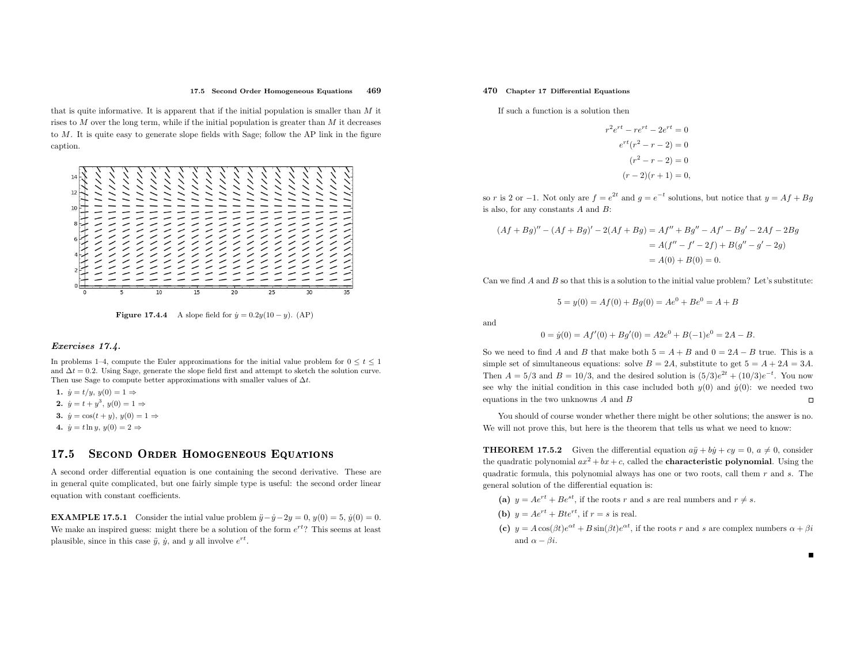#### 17.5 Second Order Homogeneous Equations <sup>469</sup>

that is quite informative. It is apparent that if the initial population is smaller than <sup>M</sup> it rises to M over the long term, while if the initial population is greater than M it decreases to <sup>M</sup>. It is quite easy to generate slope fields with Sage; follow the AP link in the figure caption.



**Figure 17.4.4** A slope field for  $\dot{y} = 0.2y(10 - y)$ . (AP)

#### Exercises 17.4.

In problems 1–4, compute the Euler approximations for the initial value problem for  $0 \le t \le 1$ and  $\Delta t = 0.2$ . Using Sage, generate the slope field first and attempt to sketch the solution curve. Then use Sage to compute better approximations with smaller values of  $\Delta t$ .

- 1.  $\dot{y} = t/y, y(0) = 1 \Rightarrow$
- 2.  $\dot{y} = t + y^3, y(0) = 1 \Rightarrow$
- 3.  $\dot{y} = \cos(t + y), y(0) = 1 \Rightarrow$
- 4.  $\dot{y} = t \ln y, y(0) = 2 \Rightarrow$

#### 17.55 SECOND ORDER HOMOGENEOUS EQUATIONS

<sup>A</sup> second order differential equation is one containing the second derivative. These are in genera<sup>l</sup> quite complicated, but one fairly simple type is useful: the second order linear equation with constant coefficients.

**EXAMPLE 17.5.1** Consider the intial value problem  $\ddot{y} - \dot{y} - 2y = 0$ ,  $y(0) = 5$ ,  $\dot{y}(0) = 0$ . We make an inspired guess: might there be a solution of the form  $e^{rt}$ ? This seems at least plausible, since in this case  $\ddot{y}$ ,  $\dot{y}$ , and y all involve  $e^{rt}$ .

#### 470 Chapter <sup>17</sup> Differential Equations

If such <sup>a</sup> function is <sup>a</sup> solution then

$$
r^{2}e^{rt} - re^{rt} - 2e^{rt} = 0
$$

$$
e^{rt}(r^{2} - r - 2) = 0
$$

$$
(r^{2} - r - 2) = 0
$$

$$
(r - 2)(r + 1) = 0,
$$

so r is 2 or −1. Not only are  $f = e^{2t}$  and  $g = e^{-t}$  solutions, but notice that  $y = Af + Bg$ is also, for any constants  $A$  and  $B$ :

$$
(Af + Bg)'' - (Af + Bg)' - 2(Af + Bg) = Af'' + Bg'' - Af' - Bg' - 2Af - 2Bg
$$
  
=  $A(f'' - f' - 2f) + B(g'' - g' - 2g)$   
=  $A(0) + B(0) = 0$ .

Can we find A and B so that this is a solution to the initial value problem? Let's substitute:

$$
5 = y(0) = Af(0) + Bg(0) = Ae^{0} + Be^{0} = A + B
$$

and

$$
0 = \dot{y}(0) = Af'(0) + Bg'(0) = A2e^{0} + B(-1)e^{0} = 2A - B.
$$

So we need to find A and B that make both  $5 = A + B$  and  $0 = 2A - B$  true. This is a simple set of simultaneous equations: solve  $B = 2A$ , substitute to get  $5 = A + 2A = 3A$ . Then  $A = 5/3$  and  $B = 10/3$ , and the desired solution is  $(5/3)e^{2t} + (10/3)e^{-t}$ . You now see why the initial condition in this case included both  $y(0)$  and  $\dot{y}(0)$ : we needed two  $\Box$ equations in the two unknowns  $A$  and  $B$ 

You should of course wonder whether there might be other solutions; the answer is no. We will not prove this, but here is the theorem that tells us what we need to know:

**THEOREM 17.5.2** Given the differential equation  $a\ddot{y} + b\dot{y} + cy = 0$ ,  $a \neq 0$ , consider the quadratic polynomial  $ax^2 + bx + c$ , called the **characteristic polynomial**. Using the quadratic formula, this polynomial always has one or two roots, call them  $r$  and  $s$ . The genera<sup>l</sup> solution of the differential equation is:

- (a)  $y = Ae^{rt} + Be^{st}$ , if the roots r and s are real numbers and  $r \neq s$ .
- (b)  $y = Ae^{rt} + Bte^{rt}$ , if  $r = s$  is real.
- (c)  $y = A\cos(\beta t)e^{\alpha t} + B\sin(\beta t)e^{\alpha t}$ , if the roots r and s are complex numbers  $\alpha + \beta i$ and  $\alpha - \beta i$ .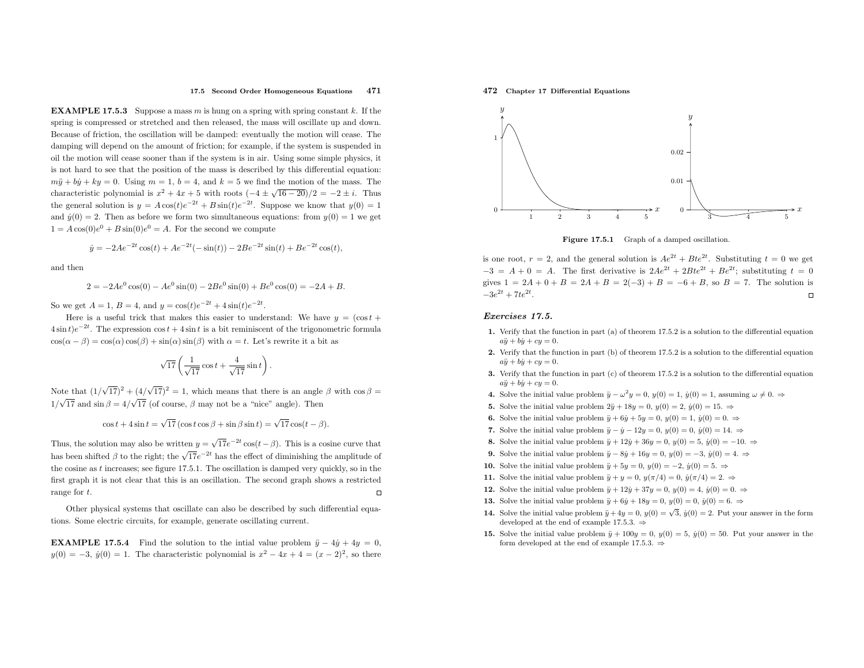#### 17.5 Second Order Homogeneous Equations <sup>471</sup>

**EXAMPLE 17.5.3** Suppose a mass  $m$  is hung on a spring with spring constant  $k$ . If the spring is compressed or stretched and then released, the mass will oscillate up and down. Because of friction, the oscillation will be damped: eventually the motion will cease. The damping will depend on the amount of friction; for example, if the system is suspended in oil the motion will cease sooner than if the system is in air. Using some simple <sup>p</sup>hysics, it is not hard to see that the position of the mass is described by this differential equation:  $m\ddot{y} + b\dot{y} + ky = 0$ . Using  $m = 1$ ,  $b = 4$ , and  $k = 5$  we find the motion of the mass. The characteristic polynomial is  $x^2 + 4x + 5$  with roots  $\left(-4 \pm \sqrt{16 - 20}\right)/2 = -2 \pm i$ . Thus the general solution is  $y = A \cos(t) e^{-2t} + B \sin(t) e^{-2t}$ . Suppose we know that  $y(0) = 1$ and  $\dot{y}(0) = 2$ . Then as before we form two simultaneous equations: from  $y(0) = 1$  we get  $1 = A\cos(0)e^0 + B\sin(0)e^0 = A$ . For the second we compute

$$
\dot{y} = -2Ae^{-2t}\cos(t) + Ae^{-2t}(-\sin(t)) - 2Be^{-2t}\sin(t) + Be^{-2t}\cos(t),
$$

and then

$$
2 = -2Ae^{0}\cos(0) - Ae^{0}\sin(0) - 2Be^{0}\sin(0) + Be^{0}\cos(0) = -2A + B.
$$

So we get  $A = 1$ ,  $B = 4$ , and  $y = \cos(t)e^{-2t} + 4\sin(t)e^{-2t}$ .

Here is a useful trick that makes this easier to understand: We have  $y = (\cos t +$  $4\sin t$ ) $e^{-2t}$ . The expression cos  $t + 4\sin t$  is a bit reminiscent of the trigonometric formula  $cos(\alpha - \beta) = cos(\alpha) cos(\beta) + sin(\alpha) sin(\beta)$  with  $\alpha = t$ . Let's rewrite it a bit as

$$
\sqrt{17}\left(\frac{1}{\sqrt{17}}\cos t + \frac{4}{\sqrt{17}}\sin t\right).
$$

Note that  $(1/\sqrt{17})^2 + (4/\sqrt{17})^2 = 1$ , which means that there is an angle  $\beta$  with  $\cos \beta =$  $1/\sqrt{17}$  and  $\sin \beta = 4/\sqrt{17}$  (of course,  $\beta$  may not be a "nice" angle). Then

$$
\cos t + 4\sin t = \sqrt{17} \left( \cos t \cos \beta + \sin \beta \sin t \right) = \sqrt{17} \cos(t - \beta).
$$

Thus, the solution may also be written  $y = \sqrt{17}e^{-2t}\cos(t-\beta)$ . This is a cosine curve that has been shifted  $\beta$  to the right; the  $\sqrt{17}e^{-2t}$  has the effect of diminishing the amplitude of the cosine as <sup>t</sup> increases; see figure 17.5.1. The oscillation is damped very quickly, so in the first grap<sup>h</sup> it is not clear that this is an oscillation. The second grap<sup>h</sup> shows <sup>a</sup> restricted $\Box$ range for <sup>t</sup>.

Other <sup>p</sup>hysical systems that oscillate can also be described by such differential equations. Some electric circuits, for example, generate oscillating current.

**EXAMPLE 17.5.4** Find the solution to the intial value problem  $\ddot{y} - 4\dot{y} + 4y = 0$ ,  $y(0) = -3$ ,  $\dot{y}(0) = 1$ . The characteristic polynomial is  $x^2 - 4x + 4 = (x - 2)^2$ , so there





Figure 17.5.1 Graph of <sup>a</sup> damped oscillation.

is one root,  $r = 2$ , and the general solution is  $Ae^{2t} + Bte^{2t}$ . Substituting  $t = 0$  we get  $-3 = A + 0 = A$ . The first derivative is  $2Ae^{2t} + 2Bte^{2t} + Be^{2t}$ ; substituting  $t = 0$ gives  $1 = 2A + 0 + B = 2A + B = 2(-3) + B = -6 + B$ , so  $B = 7$ . The solution is  $-3e^{2t} + 7te^{2t}$ .

#### Exercises 17.5.

- 1. Verify that the function in part (a) of theorem 17.5.2 is <sup>a</sup> solution to the differential equation $a\ddot{y} + b\dot{y} + cy = 0.$
- 2. Verify that the function in part (b) of theorem 17.5.2 is <sup>a</sup> solution to the differential equation $a\ddot{y} + b\dot{y} + cy = 0.$
- 3. Verify that the function in part (c) of theorem 17.5.2 is <sup>a</sup> solution to the differential equation $a\ddot{y} + b\dot{y} + cy = 0.$
- 4. Solve the initial value problem  $\ddot{y} \omega^2 y = 0$ ,  $y(0) = 1$ ,  $\dot{y}(0) = 1$ , assuming  $\omega \neq 0$ .  $\Rightarrow$
- **5.** Solve the initial value problem  $2\ddot{y} + 18y = 0$ ,  $y(0) = 2$ ,  $\dot{y}(0) = 15$ .  $\Rightarrow$
- **6.** Solve the initial value problem  $\ddot{y} + 6\dot{y} + 5y = 0$ ,  $y(0) = 1$ ,  $\dot{y}(0) = 0$ .  $\Rightarrow$
- 7. Solve the initial value problem  $\ddot{y} \dot{y} 12y = 0$ ,  $y(0) = 0$ ,  $\dot{y}(0) = 14$ .  $\Rightarrow$
- 8. Solve the initial value problem  $\ddot{y} + 12\dot{y} + 36y = 0$ ,  $y(0) = 5$ ,  $\dot{y}(0) = -10$ .  $\Rightarrow$
- 9. Solve the initial value problem  $\ddot{y} 8\dot{y} + 16y = 0$ ,  $y(0) = -3$ ,  $\dot{y}(0) = 4$ .  $\Rightarrow$
- **10.** Solve the initial value problem  $\ddot{y} + 5y = 0$ ,  $y(0) = -2$ ,  $\dot{y}(0) = 5$ . ⇒
- **11.** Solve the initial value problem  $\ddot{y} + y = 0$ ,  $y(\pi/4) = 0$ ,  $\dot{y}(\pi/4) = 2$ .  $\Rightarrow$
- 12. Solve the initial value problem  $\ddot{y} + 12\dot{y} + 37y = 0$ ,  $y(0) = 4$ ,  $\dot{y}(0) = 0$ .  $\Rightarrow$
- **13.** Solve the initial value problem  $\ddot{y} + 6\dot{y} + 18y = 0$ ,  $y(0) = 0$ ,  $\dot{y}(0) = 6$ .  $\Rightarrow$
- 14. Solve the initial value problem  $\ddot{y} + 4y = 0$ ,  $y(0) = \sqrt{3}$ ,  $\dot{y}(0) = 2$ . Put your answer in the form developed at the end of example 17.5.3. <sup>⇒</sup>
- **15.** Solve the initial value problem  $\ddot{y} + 100y = 0$ ,  $y(0) = 5$ ,  $\dot{y}(0) = 50$ . Put your answer in the form developed at the end of example 17.5.3.  $\Rightarrow$

472 Chapter <sup>17</sup> Differential Equations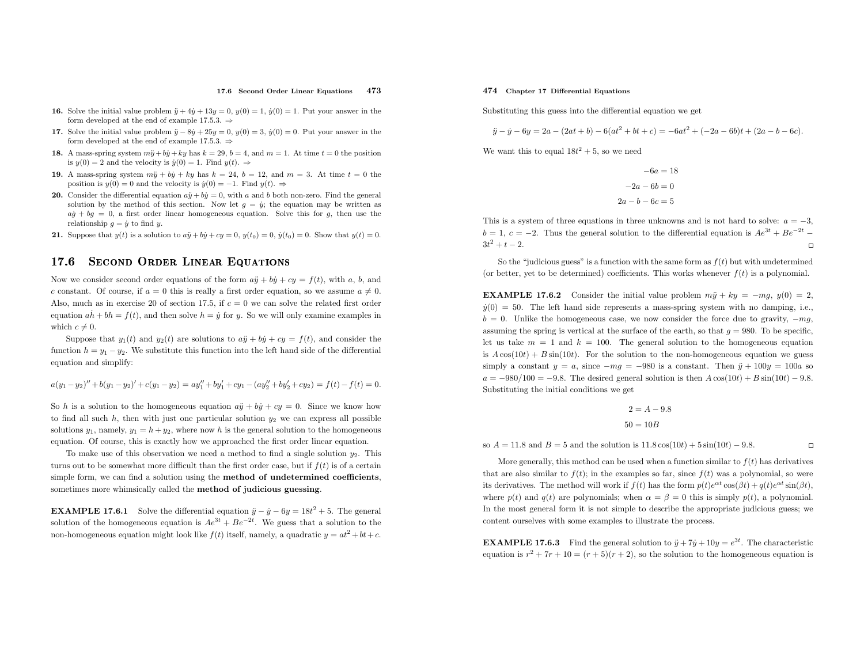#### 17.6 Second Order Linear Equations <sup>473</sup>

- **16.** Solve the initial value problem  $\ddot{y} + 4\dot{y} + 13y = 0$ ,  $y(0) = 1$ ,  $\dot{y}(0) = 1$ . Put your answer in the form developed at the end of example 17.5.3.  $\Rightarrow$
- 17. Solve the initial value problem  $\ddot{y} 8\dot{y} + 25y = 0$ ,  $y(0) = 3$ ,  $\dot{y}(0) = 0$ . Put your answer in the form developed at the end of example 17.5.3.  $\Rightarrow$
- 18. A mass-spring system  $m\ddot{y} + b\dot{y} + ky$  has  $k = 29$ ,  $b = 4$ , and  $m = 1$ . At time  $t = 0$  the position is  $\dot{y}(0) = 2$  and the valenty is  $\dot{y}(0) = 1$ . Find  $y(t) = 1$ is  $y(0) = 2$  and the velocity is  $\dot{y}(0) = 1$ . Find  $y(t) \Rightarrow$
- 19. A mass-spring system  $m\ddot{y} + b\dot{y} + ky$  has  $k = 24$ ,  $b = 12$ , and  $m = 3$ . At time  $t = 0$  the position is  $y(0) = 0$  and the velocity is  $\dot{y}(0) = -1$ . Find  $y(t) \Rightarrow$
- **20.** Consider the differential equation  $a\ddot{y} + b\dot{y} = 0$ , with a and b both non-zero. Find the general solution by the method of this section. Now let  $q = \dot{y}$ ; the equation may be written as  $a\dot{g} + b\dot{g} = 0$ , a first order linear homogeneous equation. Solve this for  $g$ , then use the relationship  $g = \dot{y}$  to find  $y$ .
- **21.** Suppose that  $y(t)$  is a solution to  $a\ddot{y} + b\dot{y} + cy = 0$ ,  $y(t_0) = 0$ ,  $\dot{y}(t_0) = 0$ . Show that  $y(t) = 0$ .

#### 17.66 SECOND ORDER LINEAR EQUATIONS

Now we consider second order equations of the form  $a\ddot{y} + b\dot{y} + cy = f(t)$ , with a, b, and c constant. Of course, if  $a = 0$  this is really a first order equation, so we assume  $a \neq 0$ . Also, much as in exercise 20 of section 17.5, if  $c = 0$  we can solve the related first order equation  $a\dot{h} + bh = f(t)$ , and then solve  $h = \dot{y}$  for y. So we will only examine examples in which  $c \neq 0$ .

Suppose that  $y_1(t)$  and  $y_2(t)$  are solutions to  $a\ddot{y} + b\dot{y} + cy = f(t)$ , and consider the function  $h = y_1 - y_2$ . We substitute this function into the left hand side of the differential equation and simplify:

$$
a(y_1 - y_2)'' + b(y_1 - y_2)' + c(y_1 - y_2) = ay_1'' + by_1' + cy_1 - (ay_2'' + by_2' + cy_2) = f(t) - f(t) = 0.
$$

So h is a solution to the homogeneous equation  $a\ddot{y} + b\dot{y} + cy = 0$ . Since we know how to find all such  $h$ , then with just one particular solution  $y_2$  we can express all possible solutions  $y_1$ , namely,  $y_1 = h + y_2$ , where now h is the general solution to the homogeneous equation. Of course, this is exactly how we approached the first order linear equation.

To make use of this observation we need a method to find a single solution  $y_2$ . This turns out to be somewhat more difficult than the first order case, but if  $f(t)$  is of a certain simple form, we can find <sup>a</sup> solution using the method of undetermined coefficients, sometimes more whimsically called the method of judicious guessing.

**EXAMPLE 17.6.1** Solve the differential equation  $\ddot{y} - \dot{y} - 6y = 18t^2 + 5$ . The general solution of the homogeneous equation is  $Ae^{3t} + Be^{-2t}$ . We guess that a solution to the non-homogeneous equation might look like  $f(t)$  itself, namely, a quadratic  $y = at^2 + bt + c$ .

#### 474 Chapter <sup>17</sup> Differential Equations

Substituting this guess into the differential equation we get

$$
\ddot{y} - \dot{y} - 6y = 2a - (2at + b) - 6(at^2 + bt + c) = -6at^2 + (-2a - 6b)t + (2a - b - 6c).
$$

We want this to equal  $18t^2 + 5$ , so we need

 $-6a = 18$  $-2a - 6b = 0$  $2a - b - 6c = 5$ 

This is a system of three equations in three unknowns and is not hard to solve:  $a = -3$ ,  $b = 1, c = -2$ . Thus the general solution to the differential equation is  $Ae^{3t} + Be^{-2t} 3t^2 + t - 2.$  $\Box$ 

So the "judicious guess" is a function with the same form as  $f(t)$  but with undetermined (or better, yet to be determined) coefficients. This works whenever  $f(t)$  is a polynomial.

**EXAMPLE 17.6.2** Consider the initial value problem  $m\ddot{y} + ky = -mg$ ,  $y(0) = 2$ ,  $\dot{y}(0) = 50$ . The left hand side represents a mass-spring system with no damping, i.e.,  $b = 0$ . Unlike the homogeneous case, we now consider the force due to gravity,  $-mg$ , assuming the spring is vertical at the surface of the earth, so that  $q = 980$ . To be specific, let us take  $m = 1$  and  $k = 100$ . The general solution to the homogeneous equation is  $A\cos(10t) + B\sin(10t)$ . For the solution to the non-homogeneous equation we guess simply a constant  $y = a$ , since  $-mg = -980$  is a constant. Then  $\ddot{y} + 100y = 100a$  so  $a = -980/100 = -9.8$ . The desired general solution is then  $A \cos(10t) + B \sin(10t) - 9.8$ . Substituting the initial conditions we get

$$
2 = A - 9.8
$$

$$
50 = 10B
$$

so  $A = 11.8$  and  $B = 5$  and the solution is  $11.8 \cos(10t) + 5 \sin(10t) - 9.8$ .

More generally, this method can be used when a function similar to  $f(t)$  has derivatives that are also similar to  $f(t)$ ; in the examples so far, since  $f(t)$  was a polynomial, so were its derivatives. The method will work if  $f(t)$  has the form  $p(t)e^{\alpha t}\cos(\beta t) + q(t)e^{\alpha t}\sin(\beta t)$ , where  $p(t)$  and  $q(t)$  are polynomials; when  $\alpha = \beta = 0$  this is simply  $p(t)$ , a polynomial. In the most genera<sup>l</sup> form it is not simple to describe the appropriate judicious guess; we content ourselves with some examples to illustrate the process.

 $\Box$ 

**EXAMPLE 17.6.3** Find the general solution to  $\ddot{y} + 7\dot{y} + 10y = e^{3t}$ . The characteristic equation is  $r^2 + 7r + 10 = (r + 5)(r + 2)$ , so the solution to the homogeneous equation is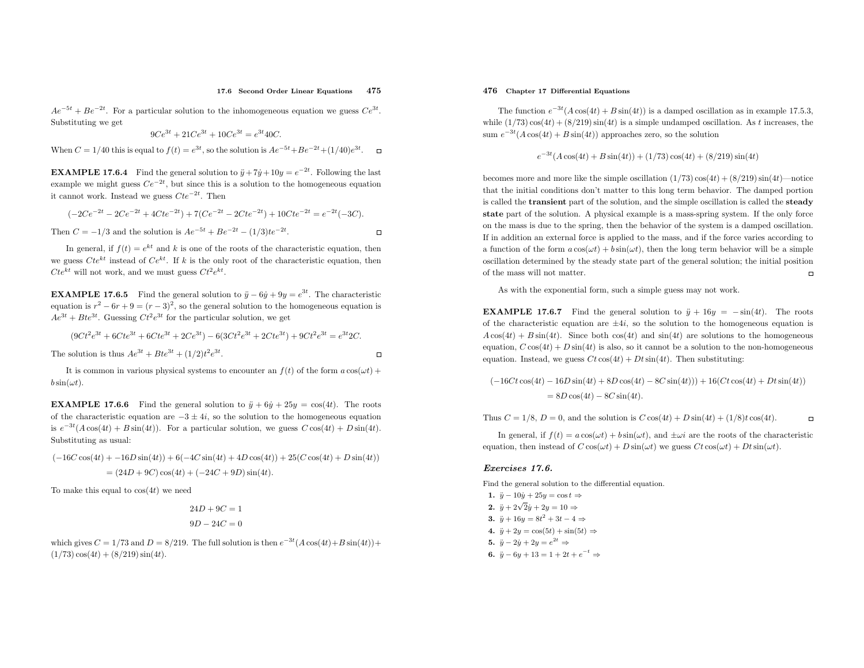#### 17.6 Second Order Linear Equations <sup>475</sup>

 $\Box$ 

 $\Box$ 

 $Ae^{-5t} + Be^{-2t}$ . For a particular solution to the inhomogeneous equation we guess  $Ce^{3t}$ . Substituting we get

$$
9Ce^{3t} + 21Ce^{3t} + 10Ce^{3t} = e^{3t}40C.
$$

When  $C = 1/40$  this is equal to  $f(t) = e^{3t}$ , so the solution is  $Ae^{-5t} + Be^{-2t} + (1/40)e^{3t}$ .

**EXAMPLE 17.6.4** Find the general solution to  $\ddot{y} + 7\dot{y} + 10y = e^{-2t}$ . Following the last example we might guess  $Ce^{-2t}$ , but since this is a solution to the homogeneous equation it cannot work. Instead we guess  $Cte^{-2t}$ . Then

$$
(-2Ce^{-2t} - 2Ce^{-2t} + 4Cte^{-2t}) + 7(Ce^{-2t} - 2Cte^{-2t}) + 10Cte^{-2t} = e^{-2t}(-3C).
$$

Then 
$$
C = -1/3
$$
 and the solution is  $Ae^{-5t} + Be^{-2t} - (1/3)te^{-2t}$ .

In general, if  $f(t) = e^{kt}$  and k is one of the roots of the characteristic equation, then we guess  $Cte^{kt}$  instead of  $Ce^{kt}$ . If k is the only root of the characteristic equation, then  $Cte^{kt}$  will not work, and we must guess  $Ct^2e^{kt}$ .

**EXAMPLE 17.6.5** Find the general solution to  $\ddot{y} - 6\dot{y} + 9y = e^{3t}$ . The characteristic equation is  $r^2 - 6r + 9 = (r - 3)^2$ , so the general solution to the homogeneous equation is  $Ae^{3t} + Bte^{3t}$ . Guessing  $Ct^2e^{3t}$  for the particular solution, we get

$$
(9Ct2e3t + 6Cte3t + 6Cte3t + 2Ce3t) - 6(3Ct2e3t + 2Cte3t) + 9Ct2e3t = e3t2C.
$$

The solution is thus  $Ae^{3t} + Bte^{3t} + (1/2)t^2e^{3t}$ .

It is common in various physical systems to encounter an  $f(t)$  of the form  $a \cos(\omega t) +$  $b\sin(\omega t)$ .

**EXAMPLE 17.6.6** Find the general solution to  $\ddot{y} + 6\dot{y} + 25y = \cos(4t)$ . The roots of the characteristic equation are  $-3 \pm 4i$ , so the solution to the homogeneous equation is  $e^{-3t}(A\cos(4t) + B\sin(4t))$ . For a particular solution, we guess  $C\cos(4t) + D\sin(4t)$ . Substituting as usual:

 $(-16C\cos(4t) + -16D\sin(4t)) + 6(-4C\sin(4t) + 4D\cos(4t)) + 25(C\cos(4t) + D\sin(4t))$  $= (24D + 9C)\cos(4t) + (-24C + 9D)\sin(4t).$ 

To make this equal to  $cos(4t)$  we need

$$
24D + 9C = 1
$$

$$
9D - 24C = 0
$$

which gives  $C = 1/73$  and  $D = 8/219$ . The full solution is then  $e^{-3t}(A\cos(4t) + B\sin(4t)) +$  $(1/73)\cos(4t) + (8/219)\sin(4t).$ 

#### 476 Chapter <sup>17</sup> Differential Equations

The function  $e^{-3t}(A\cos(4t) + B\sin(4t))$  is a damped oscillation as in example 17.5.3, while  $(1/73)\cos(4t) + (8/219)\sin(4t)$  is a simple undamped oscillation. As t increases, the sum  $e^{-3t}(A\cos(4t) + B\sin(4t))$  approaches zero, so the solution

$$
e^{-3t}(A\cos(4t) + B\sin(4t)) + (1/73)\cos(4t) + (8/219)\sin(4t)
$$

becomes more and more like the simple oscillation  $(1/73)\cos(4t) + (8/219)\sin(4t)$ —notice that the initial conditions don't matter to this long term behavior. The damped portion is called the transient part of the solution, and the simple oscillation is called the steady state part of the solution. <sup>A</sup> <sup>p</sup>hysical example is <sup>a</sup> mass-spring system. If the only force on the mass is due to the spring, then the behavior of the system is <sup>a</sup> damped oscillation. If in addition an external force is applied to the mass, and if the force varies according to a function of the form  $a \cos(\omega t) + b \sin(\omega t)$ , then the long term behavior will be a simple oscillation determined by the steady state part of the genera<sup>l</sup> solution; the initial position $\Box$ of the mass will not matter.

As with the exponential form, such <sup>a</sup> simple guess may not work.

**EXAMPLE 17.6.7** Find the general solution to  $\ddot{y} + 16y = -\sin(4t)$ . The roots of the characteristic equation are  $\pm 4i$ , so the solution to the homogeneous equation is  $A\cos(4t) + B\sin(4t)$ . Since both  $\cos(4t)$  and  $\sin(4t)$  are solutions to the homogeneous equation,  $C \cos(4t) + D \sin(4t)$  is also, so it cannot be a solution to the non-homogeneous equation. Instead, we guess  $Ct \cos(4t) + Dt \sin(4t)$ . Then substituting:

$$
(-16Ct\cos(4t) - 16D\sin(4t) + 8D\cos(4t) - 8C\sin(4t))) + 16(Ct\cos(4t) + Dt\sin(4t))
$$
  
= 8D\cos(4t) - 8C\sin(4t).

Thus  $C = 1/8$ ,  $D = 0$ , and the solution is  $C \cos(4t) + D \sin(4t) + (1/8)t \cos(4t)$ .  $\Box$ 

In general, if  $f(t) = a \cos(\omega t) + b \sin(\omega t)$ , and  $\pm \omega i$  are the roots of the characteristic equation, then instead of  $C \cos(\omega t) + D \sin(\omega t)$  we guess  $Ct \cos(\omega t) + Dt \sin(\omega t)$ .

#### Exercises 17.6.

Find the genera<sup>l</sup> solution to the differential equation.

1.  $\ddot{y} - 10\dot{y} + 25y = \cos t \Rightarrow$ 2.  $\ddot{y} + 2\sqrt{2}\dot{y} + 2y = 10 \Rightarrow$ 3.  $\ddot{y} + 16y = 8t^2 + 3t - 4 \Rightarrow$ 4.  $\ddot{y} + 2y = \cos(5t) + \sin(5t) \Rightarrow$ 5.  $\ddot{y} - 2\dot{y} + 2y = e^{2t} \Rightarrow$ 6.  $\ddot{y} - 6y + 13 = 1 + 2t + e^{-t} \Rightarrow$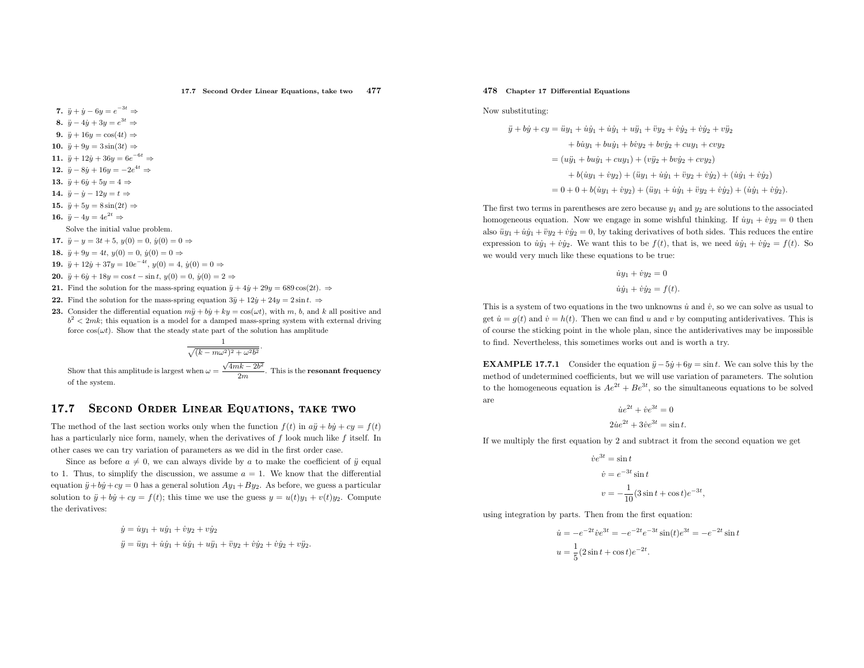17.7 Second Order Linear Equations, take two<sup>477</sup>

7.  $\ddot{y} + \dot{y} - 6y = e^{-3t} \Rightarrow$ 

- 8.  $\ddot{y} 4\dot{y} + 3y = e^{3t} \Rightarrow$
- 9.  $\ddot{y} + 16y = \cos(4t) \Rightarrow$
- 10.  $\ddot{y} + 9y = 3\sin(3t) \Rightarrow$
- 11.  $\ddot{y} + 12\dot{y} + 36y = 6e^{-6t} \Rightarrow$
- 12.  $\ddot{y} 8\dot{y} + 16y = -2e^{4t} \Rightarrow$
- 13.  $\ddot{y} + 6\dot{y} + 5y = 4 \Rightarrow$
- 14.  $\ddot{y} \dot{y} 12y = t \Rightarrow$
- 15.  $\ddot{y} + 5y = 8 \sin(2t) \Rightarrow$
- 16.  $\ddot{y} 4y = 4e^{2t} \Rightarrow$
- Solve the initial value problem.
- 17.  $\ddot{y} y = 3t + 5$ ,  $y(0) = 0$ ,  $\dot{y}(0) = 0 \Rightarrow$
- 18.  $\ddot{y} + 9y = 4t, y(0) = 0, \dot{y}(0) = 0 \Rightarrow$
- 19.  $\ddot{y} + 12\dot{y} + 37y = 10e^{-4t}, y(0) = 4, \dot{y}(0) = 0 \Rightarrow$
- **20.**  $\ddot{y} + 6\dot{y} + 18y = \cos t \sin t$ ,  $y(0) = 0$ ,  $\dot{y}(0) = 2$  ⇒
- 21. Find the solution for the mass-spring equation  $\ddot{y} + 4\dot{y} + 29y = 689 \cos(2t)$ .  $\Rightarrow$
- 22. Find the solution for the mass-spring equation  $3\ddot{y} + 12\dot{y} + 24y = 2\sin t$ .  $\Rightarrow$
- 23. Consider the differential equation  $m\ddot{y} + b\dot{y} + ky = \cos(\omega t)$ , with  $m, b$ , and k all positive and  $k^2 \le 2m\hbar$ , this constituence and leave all positive and the state of the state of the state of the state of the stat  $b^2 < 2mk$ ; this equation is a model for a damped mass-spring system with external driving force  $cos(\omega t)$ . Show that the steady state part of the solution has amplitude

$$
\frac{1}{\sqrt{(k-m\omega^2)^2 + \omega^2 b}}
$$

Show that this amplitude is largest when  $\omega = \frac{\sqrt{4mk - 2b^2}}{2m}$ . This is the **resonant frequency** of the system.

2

#### 17.7Se
ond Order Linear Equations, take two

The method of the last section works only when the function  $f(t)$  in  $a\ddot{y} + b\dot{y} + cy = f(t)$ has a particularly nice form, namely, when the derivatives of f look much like f itself. In other cases we can try variation of parameters as we did in the first order case.

Since as before  $a \neq 0$ , we can always divide by a to make the coefficient of  $\ddot{y}$  equal to 1. Thus, to simplify the discussion, we assume  $a = 1$ . We know that the differential equation  $\ddot{y} + b\dot{y} + cy = 0$  has a general solution  $Ay_1 + By_2$ . As before, we guess a particular solution to  $\ddot{y} + b\dot{y} + cy = f(t)$ ; this time we use the guess  $y = u(t)y_1 + v(t)y_2$ . Compute the derivatives:

$$
\dot{y} = \dot{u}y_1 + u\dot{y}_1 + \dot{v}y_2 + v\dot{y}_2
$$
  

$$
\ddot{y} = \ddot{u}y_1 + \dot{u}\dot{y}_1 + \dot{u}\dot{y}_1 + u\ddot{y}_1 + \ddot{v}y_2 + \dot{v}\dot{y}_2 + \dot{v}\dot{y}_2 + v\ddot{y}_2.
$$

## 478 Chapter <sup>17</sup> Differential Equations

Now substituting:

$$
\ddot{y} + b\dot{y} + cy = \ddot{u}y_1 + \dot{u}\dot{y}_1 + \dot{u}\dot{y}_1 + \ddot{v}\dot{y}_2 + \ddot{v}\dot{y}_2 + \dot{v}\dot{y}_2 + \ddot{v}\dot{y}_2 + \ddot{v}\dot{y}_2
$$
  
+  $b\dot{u}y_1 + b\dot{u}\dot{y}_1 + \dot{v}\dot{y}_2 + \dot{v}\dot{y}_2 + c\dot{u}y_1 + c\dot{v}y_2$   
=  $(u\ddot{y}_1 + b\dot{u}\dot{y}_1 + c\dot{u}\dot{y}_1 + (\dot{v}\ddot{y}_2 + b\dot{v}\dot{y}_2 + c\dot{v}\dot{y}_2)$   
+  $b(\dot{u}y_1 + \dot{v}y_2) + (\ddot{u}y_1 + \dot{u}\dot{y}_1 + \ddot{v}\dot{y}_2 + \dot{v}\dot{y}_2) + (\dot{u}\dot{y}_1 + \dot{v}\dot{y}_2)$   
=  $0 + 0 + b(\dot{u}y_1 + \dot{v}y_2) + (\ddot{u}y_1 + \dot{u}\dot{y}_1 + \ddot{v}\dot{y}_2 + \dot{v}\dot{y}_2) + (\dot{u}\dot{y}_1 + \dot{v}\dot{y}_2)$ 

The first two terms in parentheses are zero because  $y_1$  and  $y_2$  are solutions to the associated homogeneous equation. Now we engage in some wishful thinking. If  $\dot{u}y_1 + \dot{v}y_2 = 0$  then also  $\ddot{u}y_1 + \dot{u}y_1 + \ddot{v}y_2 + \dot{v}y_2 = 0$ , by taking derivatives of both sides. This reduces the entire expression to  $\dot{u}\dot{y}_1 + \dot{v}\dot{y}_2$ . We want this to be  $f(t)$ , that is, we need  $\dot{u}\dot{y}_1 + \dot{v}\dot{y}_2 = f(t)$ . So we would very much like these equations to be true:

$$
\dot{u}y_1 + \dot{v}y_2 = 0
$$
  

$$
\dot{u}\dot{y}_1 + \dot{v}\dot{y}_2 = f(t).
$$

This is a system of two equations in the two unknowns  $\dot{u}$  and  $\dot{v}$ , so we can solve as usual to get  $\dot{u} = g(t)$  and  $\dot{v} = h(t)$ . Then we can find u and v by computing antiderivatives. This is of course the sticking point in the whole <sup>p</sup>lan, since the antiderivatives may be impossible to find. Nevertheless, this sometimes works out and is worth <sup>a</sup> try.

**EXAMPLE 17.7.1** Consider the equation  $\ddot{y} - 5\dot{y} + 6y = \sin t$ . We can solve this by the method of undetermined coefficients, but we will use variation of parameters. The solutionto the homogeneous equation is  $Ae^{2t} + Be^{3t}$ , so the simultaneous equations to be solved are

> $\dot{u}e^{2t} + \dot{v}e^{3t} = 0$  $2\dot{u}e^{2t} + 3\dot{v}e^{3t} = \sin t.$

If we multiply the first equation by <sup>2</sup> and subtract it from the second equation we get

$$
\dot{v}e^{3t} = \sin t
$$

$$
\dot{v} = e^{-3t}\sin t
$$

$$
v = -\frac{1}{10}(3\sin t + \cos t)e^{-3t}
$$

,

using integration by parts. Then from the first equation:

$$
\dot{u} = -e^{-2t}\dot{v}e^{3t} = -e^{-2t}e^{-3t}\sin(t)e^{3t} = -e^{-2t}\sin t
$$

$$
u = \frac{1}{5}(2\sin t + \cos t)e^{-2t}.
$$